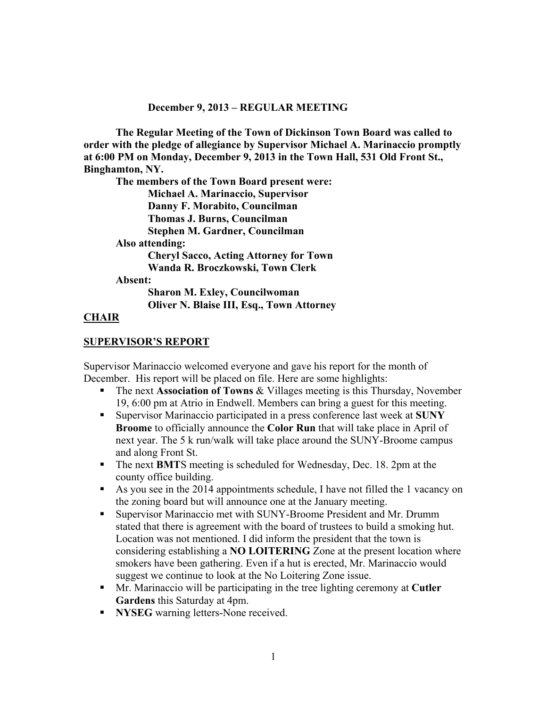#### **December 9, 2013 – REGULAR MEETING**

**The Regular Meeting of the Town of Dickinson Town Board was called to order with the pledge of allegiance by Supervisor Michael A. Marinaccio promptly at 6:00 PM on Monday, December 9, 2013 in the Town Hall, 531 Old Front St., Binghamton, NY.** 

**The members of the Town Board present were: Michael A. Marinaccio, Supervisor Danny F. Morabito, Councilman** 

**Thomas J. Burns, Councilman** 

**Stephen M. Gardner, Councilman** 

**Also attending:** 

 **Cheryl Sacco, Acting Attorney for Town Wanda R. Broczkowski, Town Clerk** 

**Absent:** 

**Sharon M. Exley, Councilwoman Oliver N. Blaise III, Esq., Town Attorney** 

### **CHAIR**

#### **SUPERVISOR'S REPORT**

Supervisor Marinaccio welcomed everyone and gave his report for the month of December. His report will be placed on file. Here are some highlights:

- The next **Association of Towns** & Villages meeting is this Thursday, November 19, 6:00 pm at Atrio in Endwell. Members can bring a guest for this meeting.
- Supervisor Marinaccio participated in a press conference last week at **SUNY Broome** to officially announce the **Color Run** that will take place in April of next year. The 5 k run/walk will take place around the SUNY-Broome campus and along Front St.
- The next **BMT**S meeting is scheduled for Wednesday, Dec. 18. 2pm at the county office building.
- As you see in the 2014 appointments schedule, I have not filled the 1 vacancy on the zoning board but will announce one at the January meeting.
- Supervisor Marinaccio met with SUNY-Broome President and Mr. Drumm stated that there is agreement with the board of trustees to build a smoking hut. Location was not mentioned. I did inform the president that the town is considering establishing a **NO LOITERING** Zone at the present location where smokers have been gathering. Even if a hut is erected, Mr. Marinaccio would suggest we continue to look at the No Loitering Zone issue.
- Mr. Marinaccio will be participating in the tree lighting ceremony at **Cutler Gardens** this Saturday at 4pm.
- **NYSEG** warning letters-None received.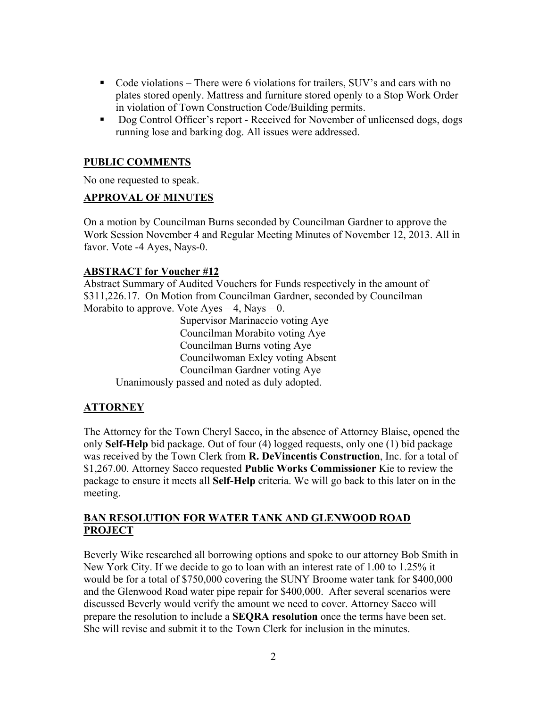- Code violations There were 6 violations for trailers, SUV's and cars with no plates stored openly. Mattress and furniture stored openly to a Stop Work Order in violation of Town Construction Code/Building permits.
- Dog Control Officer's report Received for November of unlicensed dogs, dogs running lose and barking dog. All issues were addressed.

#### **PUBLIC COMMENTS**

No one requested to speak.

### **APPROVAL OF MINUTES**

On a motion by Councilman Burns seconded by Councilman Gardner to approve the Work Session November 4 and Regular Meeting Minutes of November 12, 2013. All in favor. Vote -4 Ayes, Nays-0.

### **ABSTRACT for Voucher #12**

Abstract Summary of Audited Vouchers for Funds respectively in the amount of \$311,226.17. On Motion from Councilman Gardner, seconded by Councilman Morabito to approve. Vote  $A$ yes  $-4$ , Nays  $-0$ .

> Supervisor Marinaccio voting Aye Councilman Morabito voting Aye Councilman Burns voting Aye Councilwoman Exley voting Absent Councilman Gardner voting Aye

Unanimously passed and noted as duly adopted.

### **ATTORNEY**

The Attorney for the Town Cheryl Sacco, in the absence of Attorney Blaise, opened the only **Self-Help** bid package. Out of four (4) logged requests, only one (1) bid package was received by the Town Clerk from **R. DeVincentis Construction**, Inc. for a total of \$1,267.00. Attorney Sacco requested **Public Works Commissioner** Kie to review the package to ensure it meets all **Self-Help** criteria. We will go back to this later on in the meeting.

# **BAN RESOLUTION FOR WATER TANK AND GLENWOOD ROAD PROJECT**

Beverly Wike researched all borrowing options and spoke to our attorney Bob Smith in New York City. If we decide to go to loan with an interest rate of 1.00 to 1.25% it would be for a total of \$750,000 covering the SUNY Broome water tank for \$400,000 and the Glenwood Road water pipe repair for \$400,000. After several scenarios were discussed Beverly would verify the amount we need to cover. Attorney Sacco will prepare the resolution to include a **SEQRA resolution** once the terms have been set. She will revise and submit it to the Town Clerk for inclusion in the minutes.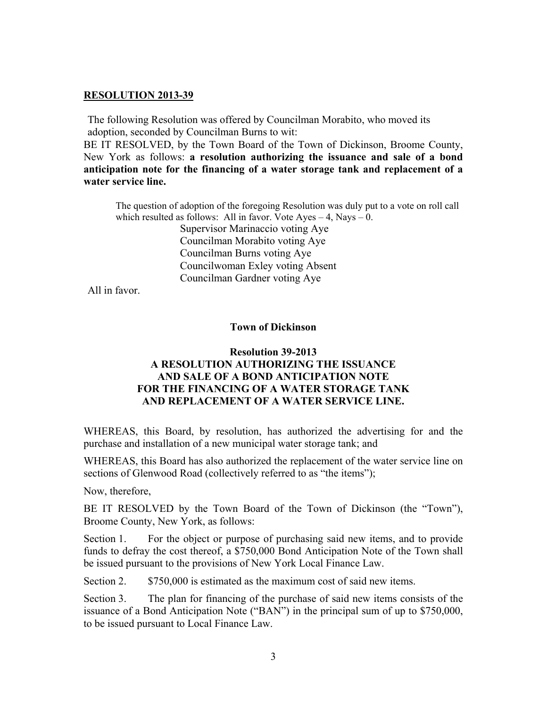#### **RESOLUTION 2013-39**

The following Resolution was offered by Councilman Morabito, who moved its adoption, seconded by Councilman Burns to wit:

BE IT RESOLVED, by the Town Board of the Town of Dickinson, Broome County, New York as follows: **a resolution authorizing the issuance and sale of a bond anticipation note for the financing of a water storage tank and replacement of a water service line.** 

The question of adoption of the foregoing Resolution was duly put to a vote on roll call which resulted as follows: All in favor. Vote  $Ayes - 4$ , Nays – 0.

> Supervisor Marinaccio voting Aye Councilman Morabito voting Aye Councilman Burns voting Aye Councilwoman Exley voting Absent Councilman Gardner voting Aye

All in favor.

#### **Town of Dickinson**

# **Resolution 39-2013**

### **A RESOLUTION AUTHORIZING THE ISSUANCE AND SALE OF A BOND ANTICIPATION NOTE FOR THE FINANCING OF A WATER STORAGE TANK AND REPLACEMENT OF A WATER SERVICE LINE.**

WHEREAS, this Board, by resolution, has authorized the advertising for and the purchase and installation of a new municipal water storage tank; and

WHEREAS, this Board has also authorized the replacement of the water service line on sections of Glenwood Road (collectively referred to as "the items");

Now, therefore,

BE IT RESOLVED by the Town Board of the Town of Dickinson (the "Town"), Broome County, New York, as follows:

Section 1. For the object or purpose of purchasing said new items, and to provide funds to defray the cost thereof, a \$750,000 Bond Anticipation Note of the Town shall be issued pursuant to the provisions of New York Local Finance Law.

Section 2.  $$750,000$  is estimated as the maximum cost of said new items.

Section 3. The plan for financing of the purchase of said new items consists of the issuance of a Bond Anticipation Note ("BAN") in the principal sum of up to \$750,000, to be issued pursuant to Local Finance Law.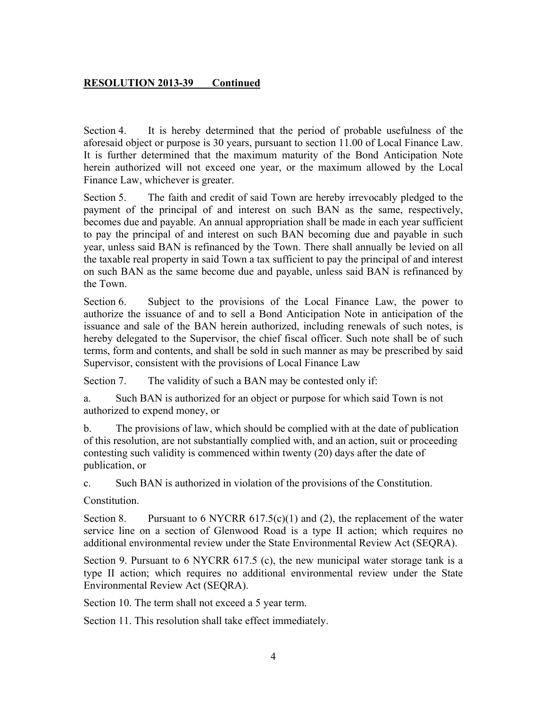### **RESOLUTION 2013-39 Continued**

Section 4. It is hereby determined that the period of probable usefulness of the aforesaid object or purpose is 30 years, pursuant to section 11.00 of Local Finance Law. It is further determined that the maximum maturity of the Bond Anticipation Note herein authorized will not exceed one year, or the maximum allowed by the Local Finance Law, whichever is greater.

Section 5. The faith and credit of said Town are hereby irrevocably pledged to the payment of the principal of and interest on such BAN as the same, respectively, becomes due and payable. An annual appropriation shall be made in each year sufficient to pay the principal of and interest on such BAN becoming due and payable in such year, unless said BAN is refinanced by the Town. There shall annually be levied on all the taxable real property in said Town a tax sufficient to pay the principal of and interest on such BAN as the same become due and payable, unless said BAN is refinanced by the Town.

Section 6. Subject to the provisions of the Local Finance Law, the power to authorize the issuance of and to sell a Bond Anticipation Note in anticipation of the issuance and sale of the BAN herein authorized, including renewals of such notes, is hereby delegated to the Supervisor, the chief fiscal officer. Such note shall be of such terms, form and contents, and shall be sold in such manner as may be prescribed by said Supervisor, consistent with the provisions of Local Finance Law

Section 7. The validity of such a BAN may be contested only if:

a. Such BAN is authorized for an object or purpose for which said Town is not authorized to expend money, or

b. The provisions of law, which should be complied with at the date of publication of this resolution, are not substantially complied with, and an action, suit or proceeding contesting such validity is commenced within twenty (20) days after the date of publication, or

c. Such BAN is authorized in violation of the provisions of the Constitution.

Constitution.

Section 8. Pursuant to 6 NYCRR  $617.5(c)(1)$  and (2), the replacement of the water service line on a section of Glenwood Road is a type II action; which requires no additional environmental review under the State Environmental Review Act (SEQRA).

Section 9. Pursuant to 6 NYCRR 617.5 (c), the new municipal water storage tank is a type II action; which requires no additional environmental review under the State Environmental Review Act (SEQRA).

Section 10. The term shall not exceed a 5 year term.

Section 11. This resolution shall take effect immediately.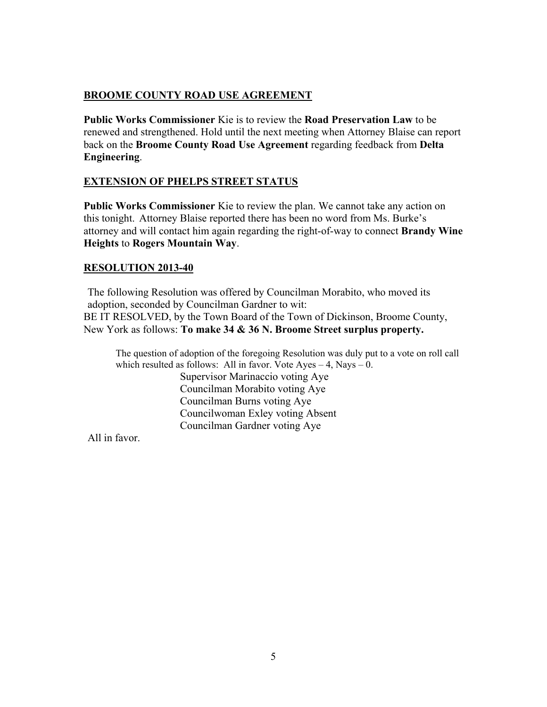# **BROOME COUNTY ROAD USE AGREEMENT**

**Public Works Commissioner** Kie is to review the **Road Preservation Law** to be renewed and strengthened. Hold until the next meeting when Attorney Blaise can report back on the **Broome County Road Use Agreement** regarding feedback from **Delta Engineering**.

#### **EXTENSION OF PHELPS STREET STATUS**

**Public Works Commissioner** Kie to review the plan. We cannot take any action on this tonight. Attorney Blaise reported there has been no word from Ms. Burke's attorney and will contact him again regarding the right-of-way to connect **Brandy Wine Heights** to **Rogers Mountain Way**.

#### **RESOLUTION 2013-40**

The following Resolution was offered by Councilman Morabito, who moved its adoption, seconded by Councilman Gardner to wit: BE IT RESOLVED, by the Town Board of the Town of Dickinson, Broome County, New York as follows: **To make 34 & 36 N. Broome Street surplus property.** 

The question of adoption of the foregoing Resolution was duly put to a vote on roll call which resulted as follows: All in favor. Vote  $Ayes - 4$ , Nays  $- 0$ . Supervisor Marinaccio voting Aye Councilman Morabito voting Aye Councilman Burns voting Aye Councilwoman Exley voting Absent Councilman Gardner voting Aye

All in favor.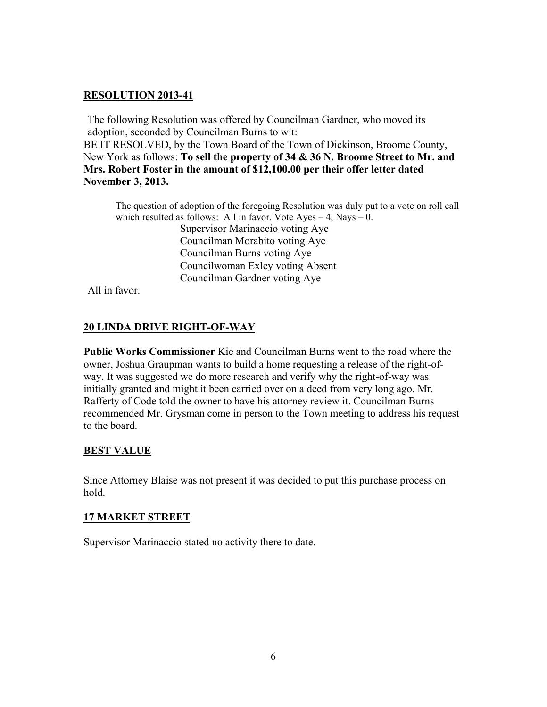#### **RESOLUTION 2013-41**

The following Resolution was offered by Councilman Gardner, who moved its adoption, seconded by Councilman Burns to wit:

BE IT RESOLVED, by the Town Board of the Town of Dickinson, Broome County, New York as follows: **To sell the property of 34 & 36 N. Broome Street to Mr. and Mrs. Robert Foster in the amount of \$12,100.00 per their offer letter dated November 3, 2013.** 

The question of adoption of the foregoing Resolution was duly put to a vote on roll call which resulted as follows: All in favor. Vote  $Ayes - 4$ , Nays – 0.

 Supervisor Marinaccio voting Aye Councilman Morabito voting Aye Councilman Burns voting Aye Councilwoman Exley voting Absent Councilman Gardner voting Aye

All in favor.

### **20 LINDA DRIVE RIGHT-OF-WAY**

**Public Works Commissioner** Kie and Councilman Burns went to the road where the owner, Joshua Graupman wants to build a home requesting a release of the right-ofway. It was suggested we do more research and verify why the right-of-way was initially granted and might it been carried over on a deed from very long ago. Mr. Rafferty of Code told the owner to have his attorney review it. Councilman Burns recommended Mr. Grysman come in person to the Town meeting to address his request to the board.

### **BEST VALUE**

Since Attorney Blaise was not present it was decided to put this purchase process on hold.

### **17 MARKET STREET**

Supervisor Marinaccio stated no activity there to date.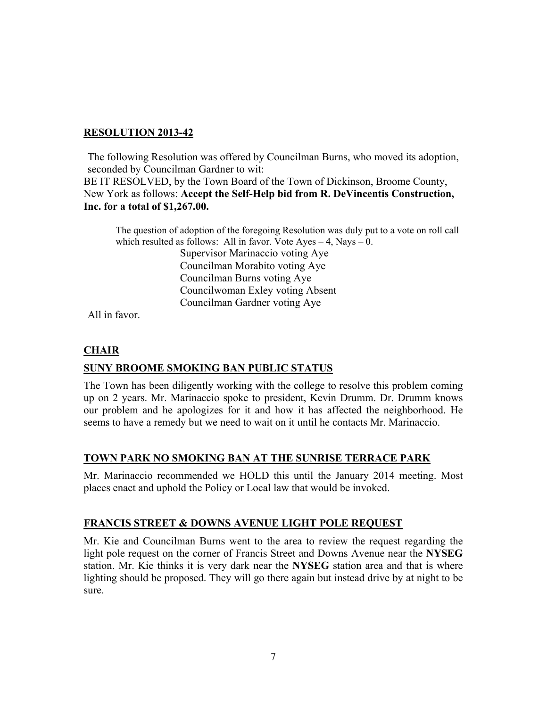### **RESOLUTION 2013-42**

The following Resolution was offered by Councilman Burns, who moved its adoption, seconded by Councilman Gardner to wit: BE IT RESOLVED, by the Town Board of the Town of Dickinson, Broome County, New York as follows: **Accept the Self-Help bid from R. DeVincentis Construction, Inc. for a total of \$1,267.00.**

The question of adoption of the foregoing Resolution was duly put to a vote on roll call which resulted as follows: All in favor. Vote  $Ayes - 4$ , Nays  $- 0$ . Supervisor Marinaccio voting Aye Councilman Morabito voting Aye Councilman Burns voting Aye

 Councilwoman Exley voting Absent Councilman Gardner voting Aye

All in favor.

# **CHAIR**

# **SUNY BROOME SMOKING BAN PUBLIC STATUS**

The Town has been diligently working with the college to resolve this problem coming up on 2 years. Mr. Marinaccio spoke to president, Kevin Drumm. Dr. Drumm knows our problem and he apologizes for it and how it has affected the neighborhood. He seems to have a remedy but we need to wait on it until he contacts Mr. Marinaccio.

# **TOWN PARK NO SMOKING BAN AT THE SUNRISE TERRACE PARK**

Mr. Marinaccio recommended we HOLD this until the January 2014 meeting. Most places enact and uphold the Policy or Local law that would be invoked.

# **FRANCIS STREET & DOWNS AVENUE LIGHT POLE REQUEST**

Mr. Kie and Councilman Burns went to the area to review the request regarding the light pole request on the corner of Francis Street and Downs Avenue near the **NYSEG** station. Mr. Kie thinks it is very dark near the **NYSEG** station area and that is where lighting should be proposed. They will go there again but instead drive by at night to be sure.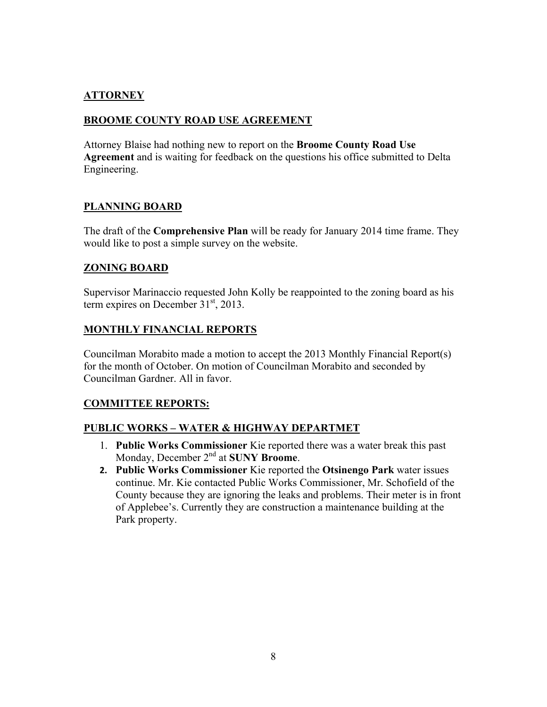# **ATTORNEY**

# **BROOME COUNTY ROAD USE AGREEMENT**

Attorney Blaise had nothing new to report on the **Broome County Road Use Agreement** and is waiting for feedback on the questions his office submitted to Delta Engineering.

# **PLANNING BOARD**

The draft of the **Comprehensive Plan** will be ready for January 2014 time frame. They would like to post a simple survey on the website.

# **ZONING BOARD**

Supervisor Marinaccio requested John Kolly be reappointed to the zoning board as his term expires on December  $31<sup>st</sup>$ , 2013.

# **MONTHLY FINANCIAL REPORTS**

Councilman Morabito made a motion to accept the 2013 Monthly Financial Report(s) for the month of October. On motion of Councilman Morabito and seconded by Councilman Gardner. All in favor.

### **COMMITTEE REPORTS:**

### **PUBLIC WORKS – WATER & HIGHWAY DEPARTMET**

- 1. **Public Works Commissioner** Kie reported there was a water break this past Monday, December 2nd at **SUNY Broome**.
- **2. Public Works Commissioner** Kie reported the **Otsinengo Park** water issues continue. Mr. Kie contacted Public Works Commissioner, Mr. Schofield of the County because they are ignoring the leaks and problems. Their meter is in front of Applebee's. Currently they are construction a maintenance building at the Park property.